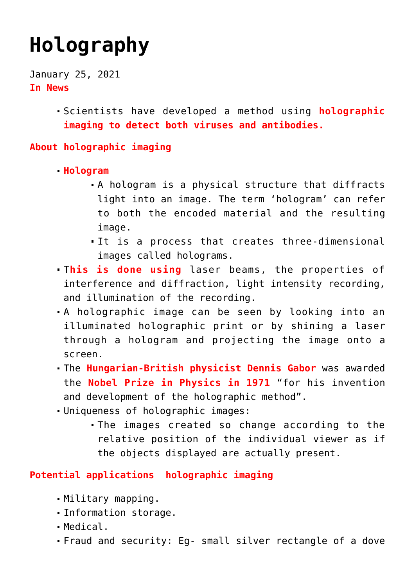# **[Holography](https://journalsofindia.com/holography/)**

January 25, 2021 **In News**

> Scientists have developed a method using **holographic imaging to detect both viruses and antibodies.**

#### **About holographic imaging**

- **Hologram**
	- A hologram is a physical structure that diffracts light into an image. The term 'hologram' can refer to both the encoded material and the resulting image.
	- It is a process that creates three-dimensional images called holograms.
- T**his is done using** laser beams, the properties of interference and diffraction, light intensity recording, and illumination of the recording.
- A holographic image can be seen by looking into an illuminated holographic print or by shining a laser through a hologram and projecting the image onto a screen.
- The **Hungarian-British physicist Dennis Gabor** was awarded the **Nobel Prize in Physics in 1971** "for his invention and development of the holographic method".
- Uniqueness of holographic images:
	- The images created so change according to the relative position of the individual viewer as if the objects displayed are actually present.

#### **Potential applications holographic imaging**

- Military mapping.
- Information storage.
- Medical.
- Fraud and security: Eg- small silver rectangle of a dove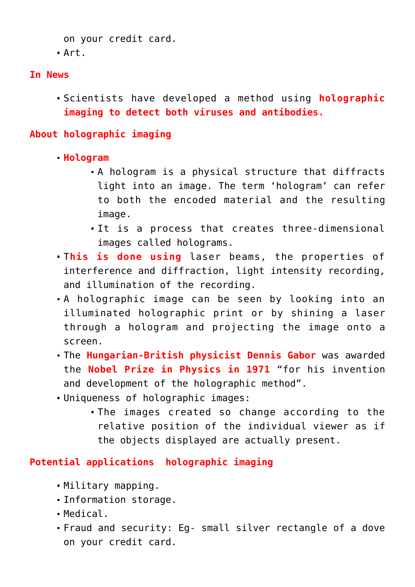```
on your credit card.
Art.
```
#### **In News**

Scientists have developed a method using **holographic imaging to detect both viruses and antibodies.**

### **About holographic imaging**

- **Hologram**
	- A hologram is a physical structure that diffracts light into an image. The term 'hologram' can refer to both the encoded material and the resulting image.
	- It is a process that creates three-dimensional images called holograms.
- T**his is done using** laser beams, the properties of interference and diffraction, light intensity recording, and illumination of the recording.
- A holographic image can be seen by looking into an illuminated holographic print or by shining a laser through a hologram and projecting the image onto a screen.
- The **Hungarian-British physicist Dennis Gabor** was awarded the **Nobel Prize in Physics in 1971** "for his invention and development of the holographic method".
- Uniqueness of holographic images:
	- The images created so change according to the relative position of the individual viewer as if the objects displayed are actually present.

#### **Potential applications holographic imaging**

- Military mapping.
- Information storage.
- Medical.
- Fraud and security: Eg- small silver rectangle of a dove on your credit card.